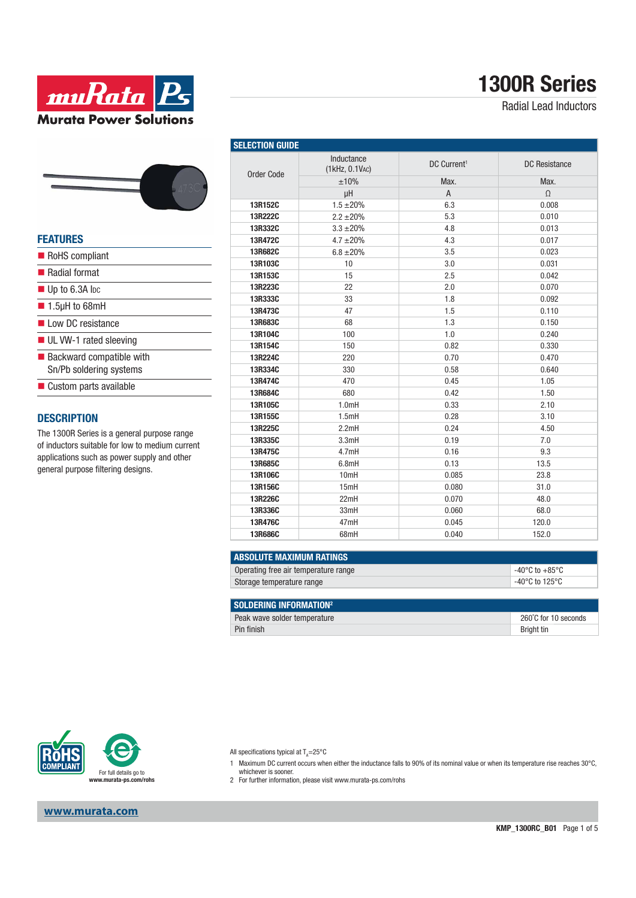

# **1300R Series**

Radial Lead Inductors

#### **FEATURES**

- RoHS compliant
- Radial format
- Up to 6.3A lpc
- 1.5µH to 68mH
- Low DC resistance
- UL VW-1 rated sleeving
- $\blacksquare$  Backward compatible with Sn/Pb soldering systems
- Custom parts available

#### **DESCRIPTION**

The 1300R Series is a general purpose range of inductors suitable for low to medium current applications such as power supply and other general purpose filtering designs.

| <b>SELECTION GUIDE</b> |                              |                         |                      |  |
|------------------------|------------------------------|-------------------------|----------------------|--|
| <b>Order Code</b>      | Inductance<br>(1kHz, 0.1VAC) | DC Current <sup>1</sup> | <b>DC</b> Resistance |  |
|                        | ±10%                         | Max.                    | Max.                 |  |
|                        | μH                           | $\overline{A}$          | $\Omega$             |  |
| 13R152C                | $1.5 \pm 20\%$               | 6.3                     | 0.008                |  |
| 13R222C                | $2.2 \pm 20\%$               | 5.3                     | 0.010                |  |
| 13R332C                | $3.3 + 20%$                  | 4.8                     | 0.013                |  |
| 13R472C                | $4.7 + 20%$                  | 4.3                     | 0.017                |  |
| 13R682C                | $6.8 \pm 20\%$               | 3.5                     | 0.023                |  |
| 13R103C                | 10                           | 3.0                     | 0.031                |  |
| 13R153C                | 15                           | 2.5                     | 0.042                |  |
| 13R223C                | 22                           | 2.0                     | 0.070                |  |
| 13R333C                | 33                           | 1.8                     | 0.092                |  |
| 13R473C                | 47                           | 1.5                     | 0.110                |  |
| 13R683C                | 68                           | 1.3                     | 0.150                |  |
| 13R104C                | 100                          | 1.0                     | 0.240                |  |
| 13R154C                | 150                          | 0.82                    | 0.330                |  |
| 13R224C                | 220                          | 0.70                    | 0.470                |  |
| 13R334C                | 330                          | 0.58                    | 0.640                |  |
| 13R474C                | 470                          | 0.45                    | 1.05                 |  |
| 13R684C                | 680                          | 0.42                    | 1.50                 |  |
| 13R105C                | 1.0mH                        | 0.33                    | 2.10                 |  |
| 13R155C                | 1.5mH                        | 0.28                    | 3.10                 |  |
| 13R225C                | 2.2mH                        | 0.24                    | 4.50                 |  |
| 13R335C                | 3.3mH                        | 0.19                    | 7.0                  |  |
| 13R475C                | 4.7mH                        | 0.16                    | 9.3                  |  |
| 13R685C                | 6.8mH                        | 0.13                    | 13.5                 |  |
| 13R106C                | 10mH                         | 0.085                   | 23.8                 |  |
| 13R156C                | 15mH                         | 0.080                   | 31.0                 |  |
| 13R226C                | 22mH                         | 0.070                   | 48.0                 |  |
| 13R336C                | 33mH                         | 0.060                   | 68.0                 |  |
| 13R476C                | 47mH                         | 0.045                   | 120.0                |  |
| 13R686C                | 68mH                         | 0.040                   | 152.0                |  |

| I ABSOLUTE MAXIMUM RATINGS           |                |
|--------------------------------------|----------------|
| Operating free air temperature range | -40°C to +85°C |
| Storage temperature range            | -40°C to 125°C |
|                                      |                |

| SOLDERING INFORMATION <sup>2</sup> |                      |
|------------------------------------|----------------------|
| Peak wave solder temperature       | 260°C for 10 seconds |
| Pin finish                         | Bright tin           |



All specifications typical at  $T_{\rm A}{=}25^{\circ}{\rm C}$ 

- 1 Maximum DC current occurs when either the inductance falls to 90% of its nominal value or when its temperature rise reaches 30°C, whichever is sooner.
- 2 For further information, please visit www.murata-ps.com/rohs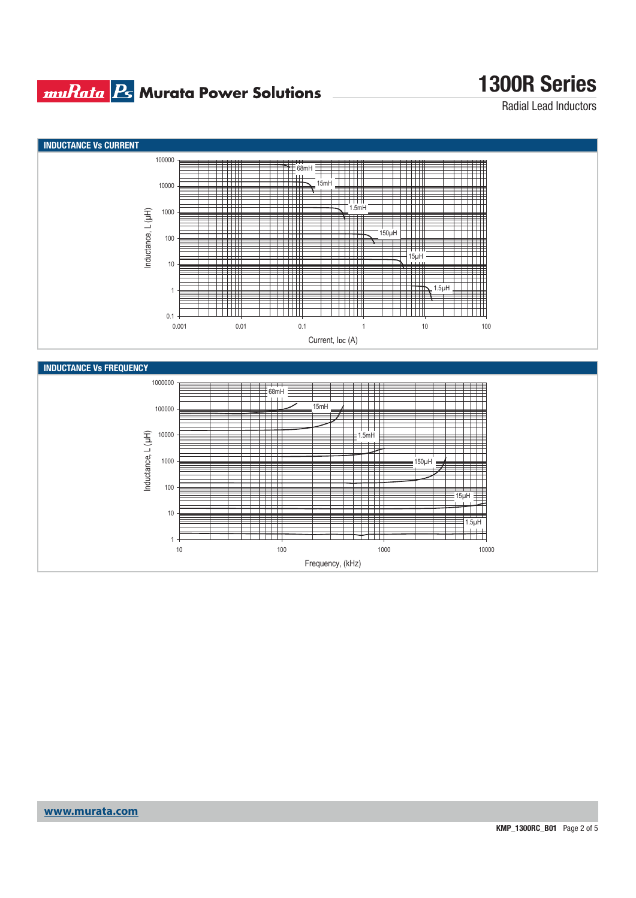#### **muRata BG** Murata Power Solutions

# **1300R Series**

Radial Lead Inductors



Frequency, (kHz)

**www.murata.com**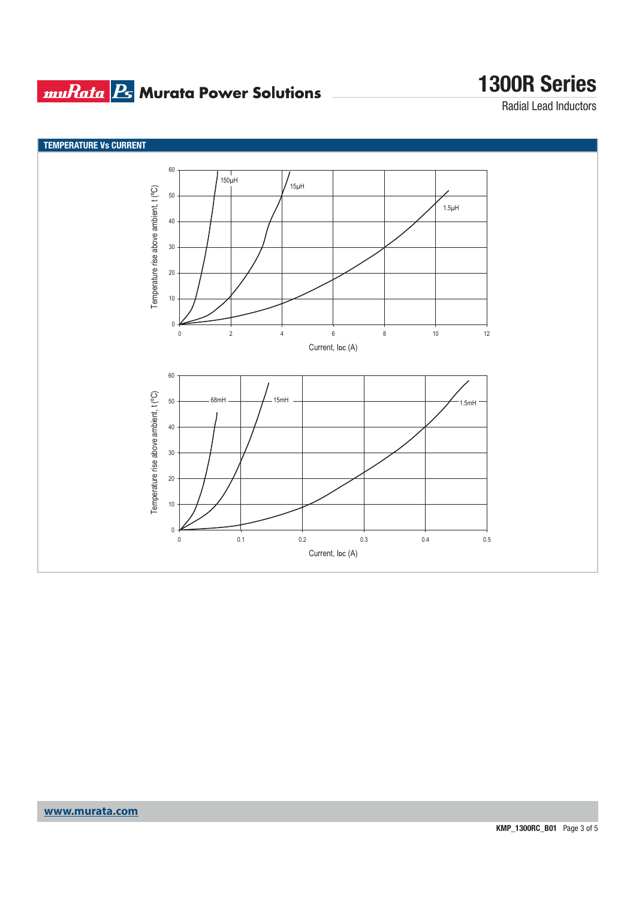### **muRata B** Murata Power Solutions

## **1300R Series**

Radial Lead Inductors

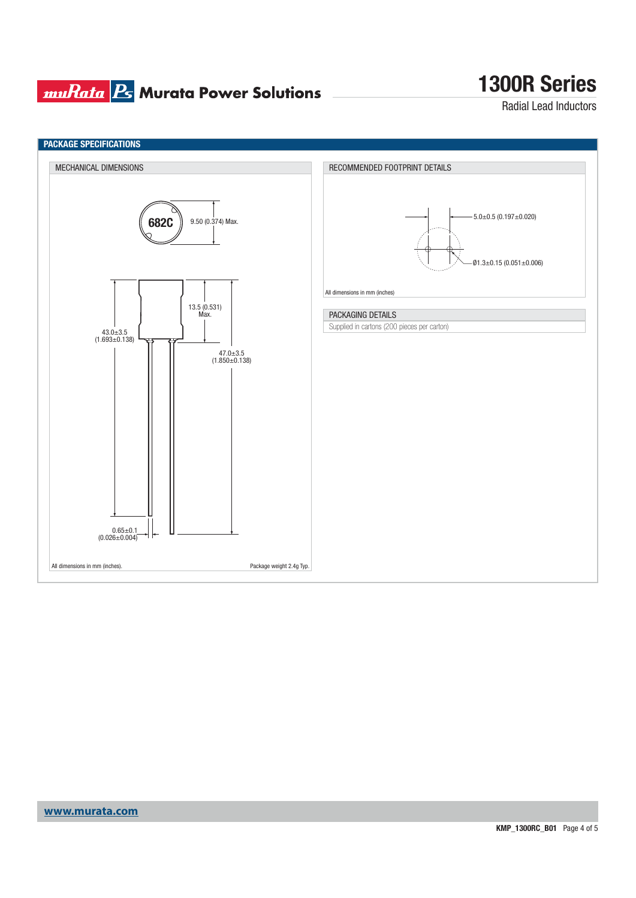#### **muRata Ps** Murata Power Solutions

## **1300R Series**

Radial Lead Inductors